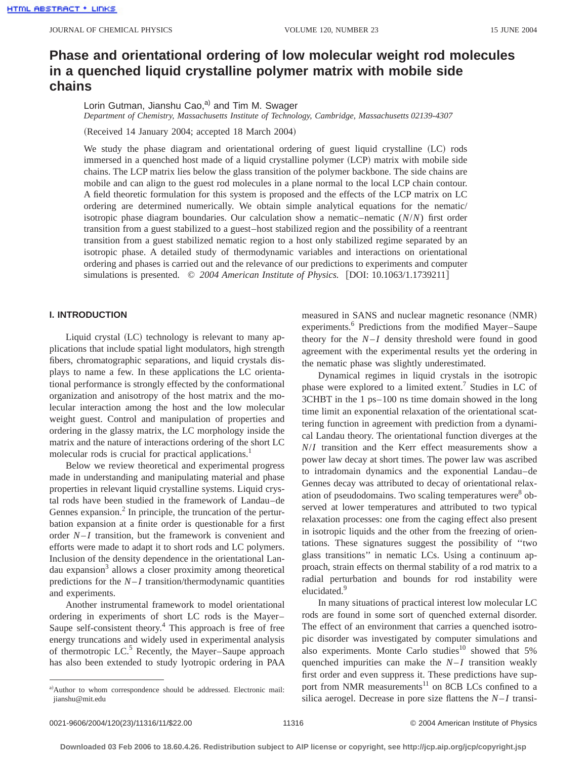# **Phase and orientational ordering of low molecular weight rod molecules in a quenched liquid crystalline polymer matrix with mobile side chains**

Lorin Gutman, Jianshu Cao,<sup>a)</sup> and Tim M. Swager

*Department of Chemistry, Massachusetts Institute of Technology, Cambridge, Massachusetts 02139-4307*

(Received 14 January 2004; accepted 18 March 2004)

We study the phase diagram and orientational ordering of guest liquid crystalline (LC) rods immersed in a quenched host made of a liquid crystalline polymer (LCP) matrix with mobile side chains. The LCP matrix lies below the glass transition of the polymer backbone. The side chains are mobile and can align to the guest rod molecules in a plane normal to the local LCP chain contour. A field theoretic formulation for this system is proposed and the effects of the LCP matrix on LC ordering are determined numerically. We obtain simple analytical equations for the nematic/ isotropic phase diagram boundaries. Our calculation show a nematic–nematic (*N*/*N*) first order transition from a guest stabilized to a guest–host stabilized region and the possibility of a reentrant transition from a guest stabilized nematic region to a host only stabilized regime separated by an isotropic phase. A detailed study of thermodynamic variables and interactions on orientational ordering and phases is carried out and the relevance of our predictions to experiments and computer simulations is presented. © 2004 American Institute of Physics. [DOI: 10.1063/1.1739211]

## **I. INTRODUCTION**

Liquid crystal (LC) technology is relevant to many applications that include spatial light modulators, high strength fibers, chromatographic separations, and liquid crystals displays to name a few. In these applications the LC orientational performance is strongly effected by the conformational organization and anisotropy of the host matrix and the molecular interaction among the host and the low molecular weight guest. Control and manipulation of properties and ordering in the glassy matrix, the LC morphology inside the matrix and the nature of interactions ordering of the short LC molecular rods is crucial for practical applications.<sup>1</sup>

Below we review theoretical and experimental progress made in understanding and manipulating material and phase properties in relevant liquid crystalline systems. Liquid crystal rods have been studied in the framework of Landau–de Gennes expansion.<sup>2</sup> In principle, the truncation of the perturbation expansion at a finite order is questionable for a first order *N*–*I* transition, but the framework is convenient and efforts were made to adapt it to short rods and LC polymers. Inclusion of the density dependence in the orientational Landau expansion<sup>3</sup> allows a closer proximity among theoretical predictions for the  $N-I$  transition/thermodynamic quantities and experiments.

Another instrumental framework to model orientational ordering in experiments of short LC rods is the Mayer– Saupe self-consistent theory.<sup>4</sup> This approach is free of free energy truncations and widely used in experimental analysis of thermotropic  $LC$ <sup>5</sup> Recently, the Mayer–Saupe approach has also been extended to study lyotropic ordering in PAA measured in SANS and nuclear magnetic resonance (NMR) experiments.<sup>6</sup> Predictions from the modified Mayer–Saupe theory for the  $N-I$  density threshold were found in good agreement with the experimental results yet the ordering in the nematic phase was slightly underestimated.

Dynamical regimes in liquid crystals in the isotropic phase were explored to a limited extent.<sup>7</sup> Studies in LC of 3CHBT in the 1 ps–100 ns time domain showed in the long time limit an exponential relaxation of the orientational scattering function in agreement with prediction from a dynamical Landau theory. The orientational function diverges at the *N*/*I* transition and the Kerr effect measurements show a power law decay at short times. The power law was ascribed to intradomain dynamics and the exponential Landau–de Gennes decay was attributed to decay of orientational relaxation of pseudodomains. Two scaling temperatures were<sup>8</sup> observed at lower temperatures and attributed to two typical relaxation processes: one from the caging effect also present in isotropic liquids and the other from the freezing of orientations. These signatures suggest the possibility of ''two glass transitions'' in nematic LCs. Using a continuum approach, strain effects on thermal stability of a rod matrix to a radial perturbation and bounds for rod instability were elucidated.<sup>9</sup>

In many situations of practical interest low molecular LC rods are found in some sort of quenched external disorder. The effect of an environment that carries a quenched isotropic disorder was investigated by computer simulations and also experiments. Monte Carlo studies<sup>10</sup> showed that 5% quenched impurities can make the  $N-I$  transition weakly first order and even suppress it. These predictions have support from NMR measurements<sup>11</sup> on 8CB LCs confined to a silica aerogel. Decrease in pore size flattens the  $N-I$  transi-

a)Author to whom correspondence should be addressed. Electronic mail: jianshu@mit.edu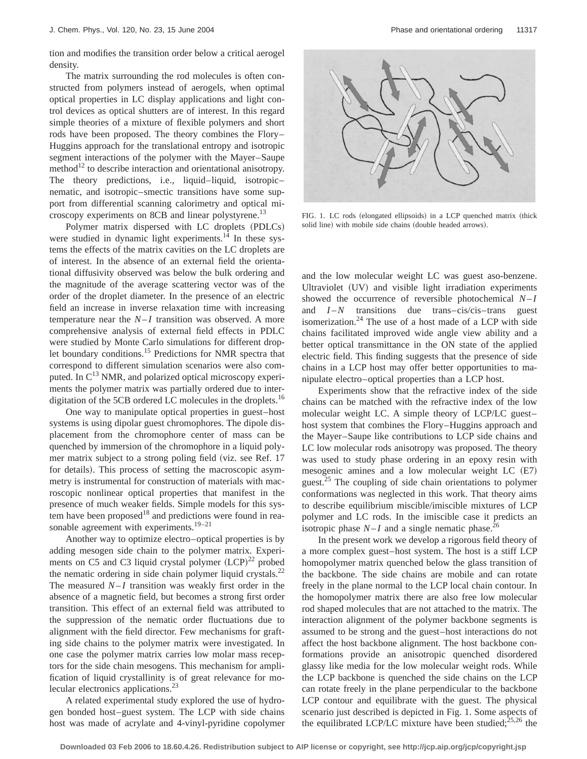tion and modifies the transition order below a critical aerogel density.

The matrix surrounding the rod molecules is often constructed from polymers instead of aerogels, when optimal optical properties in LC display applications and light control devices as optical shutters are of interest. In this regard simple theories of a mixture of flexible polymers and short rods have been proposed. The theory combines the Flory– Huggins approach for the translational entropy and isotropic segment interactions of the polymer with the Mayer–Saupe method $^{12}$  to describe interaction and orientational anisotropy. The theory predictions, i.e., liquid–liquid, isotropic– nematic, and isotropic–smectic transitions have some support from differential scanning calorimetry and optical microscopy experiments on 8CB and linear polystyrene.<sup>13</sup>

Polymer matrix dispersed with LC droplets (PDLCs) were studied in dynamic light experiments.<sup>14</sup> In these systems the effects of the matrix cavities on the LC droplets are of interest. In the absence of an external field the orientational diffusivity observed was below the bulk ordering and the magnitude of the average scattering vector was of the order of the droplet diameter. In the presence of an electric field an increase in inverse relaxation time with increasing temperature near the  $N-I$  transition was observed. A more comprehensive analysis of external field effects in PDLC were studied by Monte Carlo simulations for different droplet boundary conditions.15 Predictions for NMR spectra that correspond to different simulation scenarios were also computed. In  $C^{13}$  NMR, and polarized optical microscopy experiments the polymer matrix was partially ordered due to interdigitation of the 5CB ordered LC molecules in the droplets.<sup>16</sup>

One way to manipulate optical properties in guest–host systems is using dipolar guest chromophores. The dipole displacement from the chromophore center of mass can be quenched by immersion of the chromophore in a liquid polymer matrix subject to a strong poling field (viz. see Ref. 17 for details). This process of setting the macroscopic asymmetry is instrumental for construction of materials with macroscopic nonlinear optical properties that manifest in the presence of much weaker fields. Simple models for this system have been proposed<sup>18</sup> and predictions were found in reasonable agreement with experiments. $19-21$ 

Another way to optimize electro–optical properties is by adding mesogen side chain to the polymer matrix. Experiments on C5 and C3 liquid crystal polymer  $(LCP)^{22}$  probed the nematic ordering in side chain polymer liquid crystals. $^{22}$ The measured  $N-I$  transition was weakly first order in the absence of a magnetic field, but becomes a strong first order transition. This effect of an external field was attributed to the suppression of the nematic order fluctuations due to alignment with the field director. Few mechanisms for grafting side chains to the polymer matrix were investigated. In one case the polymer matrix carries low molar mass receptors for the side chain mesogens. This mechanism for amplification of liquid crystallinity is of great relevance for molecular electronics applications.<sup>23</sup>

A related experimental study explored the use of hydrogen bonded host–guest system. The LCP with side chains host was made of acrylate and 4-vinyl-pyridine copolymer



FIG. 1. LC rods (elongated ellipsoids) in a LCP quenched matrix (thick solid line) with mobile side chains (double headed arrows).

and the low molecular weight LC was guest aso-benzene. Ultraviolet (UV) and visible light irradiation experiments showed the occurrence of reversible photochemical  $N-I$ and  $I-N$  transitions due trans–cis/cis–trans guest isomerization. $24$  The use of a host made of a LCP with side chains facilitated improved wide angle view ability and a better optical transmittance in the ON state of the applied electric field. This finding suggests that the presence of side chains in a LCP host may offer better opportunities to manipulate electro–optical properties than a LCP host.

Experiments show that the refractive index of the side chains can be matched with the refractive index of the low molecular weight LC. A simple theory of LCP/LC guest– host system that combines the Flory–Huggins approach and the Mayer–Saupe like contributions to LCP side chains and LC low molecular rods anisotropy was proposed. The theory was used to study phase ordering in an epoxy resin with mesogenic amines and a low molecular weight  $LC$   $(E7)$ guest.<sup>25</sup> The coupling of side chain orientations to polymer conformations was neglected in this work. That theory aims to describe equilibrium miscible/imiscible mixtures of LCP polymer and LC rods. In the imiscible case it predicts an isotropic phase  $N-I$  and a single nematic phase.<sup>26</sup>

In the present work we develop a rigorous field theory of a more complex guest–host system. The host is a stiff LCP homopolymer matrix quenched below the glass transition of the backbone. The side chains are mobile and can rotate freely in the plane normal to the LCP local chain contour. In the homopolymer matrix there are also free low molecular rod shaped molecules that are not attached to the matrix. The interaction alignment of the polymer backbone segments is assumed to be strong and the guest–host interactions do not affect the host backbone alignment. The host backbone conformations provide an anisotropic quenched disordered glassy like media for the low molecular weight rods. While the LCP backbone is quenched the side chains on the LCP can rotate freely in the plane perpendicular to the backbone LCP contour and equilibrate with the guest. The physical scenario just described is depicted in Fig. 1. Some aspects of the equilibrated LCP/LC mixture have been studied; $25,26$  the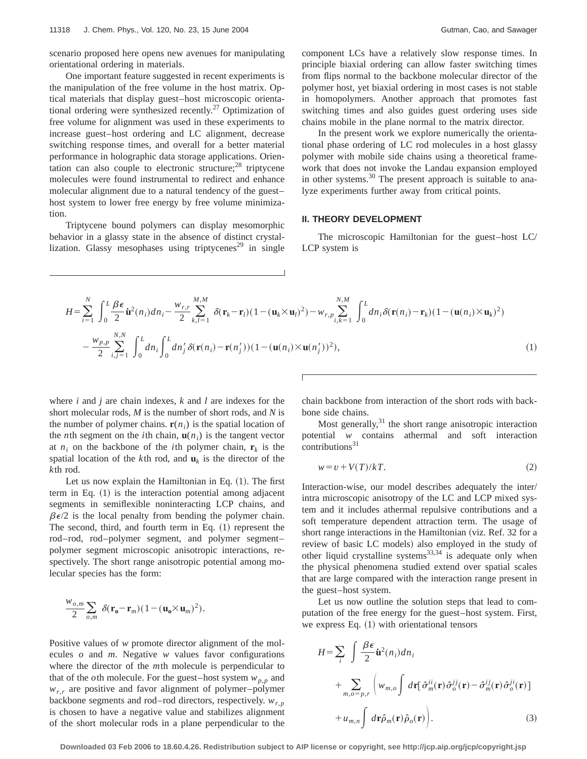scenario proposed here opens new avenues for manipulating orientational ordering in materials.

One important feature suggested in recent experiments is the manipulation of the free volume in the host matrix. Optical materials that display guest–host microscopic orientational ordering were synthesized recently.<sup>27</sup> Optimization of free volume for alignment was used in these experiments to increase guest–host ordering and LC alignment, decrease switching response times, and overall for a better material performance in holographic data storage applications. Orientation can also couple to electronic structure; $28$  triptycene molecules were found instrumental to redirect and enhance molecular alignment due to a natural tendency of the guest– host system to lower free energy by free volume minimization.

Triptycene bound polymers can display mesomorphic behavior in a glassy state in the absence of distinct crystallization. Glassy mesophases using triptycenes<sup>29</sup> in single component LCs have a relatively slow response times. In principle biaxial ordering can allow faster switching times from flips normal to the backbone molecular director of the polymer host, yet biaxial ordering in most cases is not stable in homopolymers. Another approach that promotes fast switching times and also guides guest ordering uses side chains mobile in the plane normal to the matrix director.

In the present work we explore numerically the orientational phase ordering of LC rod molecules in a host glassy polymer with mobile side chains using a theoretical framework that does not invoke the Landau expansion employed in other systems.<sup>30</sup> The present approach is suitable to analyze experiments further away from critical points.

# **II. THEORY DEVELOPMENT**

The microscopic Hamiltonian for the guest–host LC/ LCP system is

$$
H = \sum_{i=1}^{N} \int_{0}^{L} \frac{\beta \epsilon}{2} \dot{\mathbf{u}}^{2}(n_{i}) d n_{i} - \frac{w_{r,r}}{2} \sum_{k,l=1}^{M,M} \delta(\mathbf{r}_{k} - \mathbf{r}_{l})(1 - (\mathbf{u}_{k} \times \mathbf{u}_{l})^{2}) - w_{r,p} \sum_{i,k=1}^{N,M} \int_{0}^{L} d n_{i} \delta(\mathbf{r}(n_{i}) - \mathbf{r}_{k})(1 - (\mathbf{u}(n_{i}) \times \mathbf{u}_{k})^{2}) - \frac{w_{p,p}}{2} \sum_{i,j=1}^{N,N} \int_{0}^{L} d n_{i} \int_{0}^{L} d n_{i} \delta(\mathbf{r}(n_{i}) - \mathbf{r}(n_{j}')) (1 - (\mathbf{u}(n_{i}) \times \mathbf{u}(n_{j}'))^{2}), \qquad (1)
$$

where *i* and *j* are chain indexes, *k* and *l* are indexes for the short molecular rods, *M* is the number of short rods, and *N* is the number of polymer chains.  $\mathbf{r}(n_i)$  is the spatial location of the *n*th segment on the *i*th chain,  $\mathbf{u}(n_i)$  is the tangent vector at  $n_i$  on the backbone of the *i*th polymer chain,  $\mathbf{r}_k$  is the spatial location of the *k*th rod, and  $\mathbf{u}_k$  is the director of the *k*th rod.

Let us now explain the Hamiltonian in Eq.  $(1)$ . The first term in Eq.  $(1)$  is the interaction potential among adjacent segments in semiflexible noninteracting LCP chains, and  $\beta \epsilon/2$  is the local penalty from bending the polymer chain. The second, third, and fourth term in Eq.  $(1)$  represent the rod–rod, rod–polymer segment, and polymer segment– polymer segment microscopic anisotropic interactions, respectively. The short range anisotropic potential among molecular species has the form:

$$
\frac{w_{o,m}}{2}\sum_{o,m}\delta(\mathbf{r_o}-\mathbf{r}_m)(1-(\mathbf{u_o}\times\mathbf{u}_m)^2).
$$

Positive values of *w* promote director alignment of the molecules *o* and *m*. Negative *w* values favor configurations where the director of the *m*th molecule is perpendicular to that of the *o*th molecule. For the guest–host system  $w_{p,p}$  and  $w_{r,r}$  are positive and favor alignment of polymer–polymer backbone segments and rod–rod directors, respectively.  $w_{r,p}$ is chosen to have a negative value and stabilizes alignment of the short molecular rods in a plane perpendicular to the chain backbone from interaction of the short rods with backbone side chains.

Most generally, $31$  the short range anisotropic interaction potential *w* contains athermal and soft interaction  $contributions<sup>31</sup>$ 

$$
w = v + V(T)/kT.
$$
 (2)

Interaction-wise, our model describes adequately the inter/ intra microscopic anisotropy of the LC and LCP mixed system and it includes athermal repulsive contributions and a soft temperature dependent attraction term. The usage of short range interactions in the Hamiltonian (viz. Ref. 32 for a review of basic LC models) also employed in the study of other liquid crystalline systems $^{33,34}$  is adequate only when the physical phenomena studied extend over spatial scales that are large compared with the interaction range present in the guest–host system.

Let us now outline the solution steps that lead to computation of the free energy for the guest–host system. First, we express Eq.  $(1)$  with orientational tensors

$$
H = \sum_{i} \int \frac{\beta \epsilon}{2} \dot{\mathbf{u}}^{2}(n_{i}) dn_{i}
$$
  
+ 
$$
\sum_{m,o=p,r} \left( w_{m,o} \int d\mathbf{r} [\hat{\sigma}_{m}^{ii}(\mathbf{r}) \hat{\sigma}_{o}^{jj}(\mathbf{r}) - \hat{\sigma}_{m}^{ij}(\mathbf{r}) \hat{\sigma}_{o}^{ji}(\mathbf{r})] + u_{m,n} \int d\mathbf{r} \hat{\rho}_{m}(\mathbf{r}) \hat{\rho}_{o}(\mathbf{r}) \right). \tag{3}
$$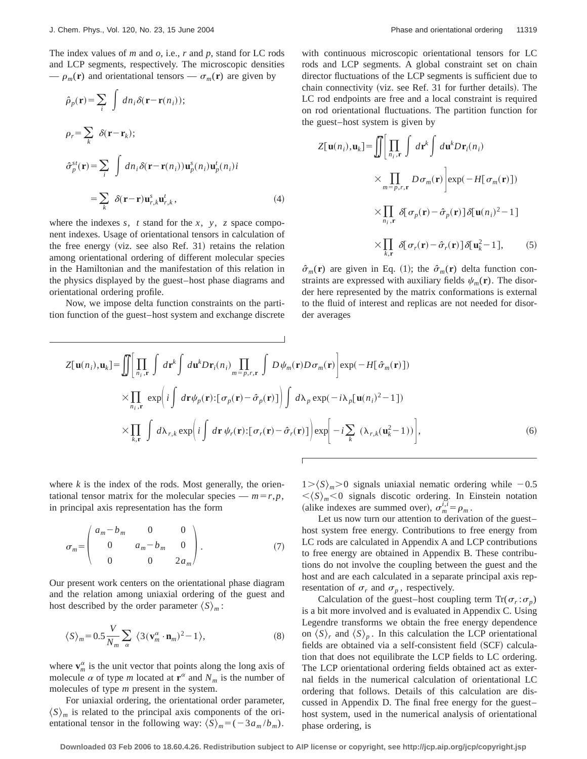The index values of *m* and *o*, i.e., *r* and *p*, stand for LC rods and LCP segments, respectively. The microscopic densities  $-\rho_m(\mathbf{r})$  and orientational tensors  $-\sigma_m(\mathbf{r})$  are given by

$$
\hat{\rho}_p(\mathbf{r}) = \sum_i \int dn_i \delta(\mathbf{r} - \mathbf{r}(n_i));
$$
\n
$$
\rho_r = \sum_k \delta(\mathbf{r} - \mathbf{r}_k);
$$
\n
$$
\hat{\sigma}_p^{st}(\mathbf{r}) = \sum_i \int dn_i \delta(\mathbf{r} - \mathbf{r}(n_i)) \mathbf{u}_p^{s}(n_i) \mathbf{u}_p^{t}(n_i) i
$$
\n
$$
= \sum_k \delta(\mathbf{r} - \mathbf{r}) \mathbf{u}_{r,k}^{s} \mathbf{u}_{r,k}^{t},
$$
\n(4)

where the indexes *s*, *t* stand for the *x*, *y*, *z* space component indexes. Usage of orientational tensors in calculation of the free energy (viz. see also Ref. 31) retains the relation among orientational ordering of different molecular species in the Hamiltonian and the manifestation of this relation in the physics displayed by the guest–host phase diagrams and orientational ordering profile.

Now, we impose delta function constraints on the partition function of the guest–host system and exchange discrete with continuous microscopic orientational tensors for LC rods and LCP segments. A global constraint set on chain director fluctuations of the LCP segments is sufficient due to chain connectivity (viz. see Ref. 31 for further details). The LC rod endpoints are free and a local constraint is required on rod orientational fluctuations. The partition function for the guest–host system is given by

$$
Z[\mathbf{u}(n_i), \mathbf{u}_k] = \iint \left[ \prod_{n_i, \mathbf{r}} \int d\mathbf{r}^k \int d\mathbf{u}^k D\mathbf{r}_i(n_i) \right]
$$
  
 
$$
\times \prod_{m = p, r, \mathbf{r}} D\sigma_m(\mathbf{r}) \left[ \exp(-H[\sigma_m(\mathbf{r})]) \right]
$$
  
 
$$
\times \prod_{n_i, \mathbf{r}} \delta[\sigma_p(\mathbf{r}) - \hat{\sigma}_p(\mathbf{r})] \delta[\mathbf{u}(n_i)^2 - 1]
$$
  
 
$$
\times \prod_{k, \mathbf{r}} \delta[\sigma_r(\mathbf{r}) - \hat{\sigma}_r(\mathbf{r})] \delta[\mathbf{u}_k^2 - 1], \qquad (5)
$$

 $\hat{\sigma}_m(\mathbf{r})$  are given in Eq. (1); the  $\hat{\sigma}_m(\mathbf{r})$  delta function constraints are expressed with auxiliary fields  $\psi_m(\mathbf{r})$ . The disorder here represented by the matrix conformations is external to the fluid of interest and replicas are not needed for disorder averages

$$
Z[\mathbf{u}(n_i), \mathbf{u}_k] = \iint \left[ \prod_{n_i, \mathbf{r}} \int d\mathbf{r}^k \int d\mathbf{u}^k D\mathbf{r}_i(n_i) \prod_{m=p,r,\mathbf{r}} \int D\psi_m(\mathbf{r}) D\sigma_m(\mathbf{r}) \right] \exp(-H[\hat{\sigma}_m(\mathbf{r})])
$$
  
 
$$
\times \prod_{n_i, \mathbf{r}} \exp\left(i \int d\mathbf{r} \psi_p(\mathbf{r}) \cdot [\sigma_p(\mathbf{r}) - \hat{\sigma}_p(\mathbf{r})] \right) \int d\lambda_p \exp(-i\lambda_p[\mathbf{u}(n_i)^2 - 1])
$$
  
 
$$
\times \prod_{k,\mathbf{r}} \int d\lambda_{r,k} \exp\left(i \int d\mathbf{r} \psi_r(\mathbf{r}) \cdot [\sigma_r(\mathbf{r}) - \hat{\sigma}_r(\mathbf{r})] \right) \exp\left[-i \sum_{k} (\lambda_{r,k}(\mathbf{u}_k^2 - 1))\right],
$$
 (6)

where  $k$  is the index of the rods. Most generally, the orientational tensor matrix for the molecular species —  $m = r, p$ , in principal axis representation has the form

$$
\sigma_m = \begin{pmatrix} a_m - b_m & 0 & 0 \\ 0 & a_m - b_m & 0 \\ 0 & 0 & 2a_m \end{pmatrix} . \tag{7}
$$

Our present work centers on the orientational phase diagram and the relation among uniaxial ordering of the guest and host described by the order parameter  $\langle S \rangle_m$ :

$$
\langle S \rangle_m = 0.5 \frac{V}{N_m} \sum_{\alpha} \langle 3(\mathbf{v}_m^{\alpha} \cdot \mathbf{n}_m)^2 - 1 \rangle, \tag{8}
$$

where  $\mathbf{v}_m^{\alpha}$  is the unit vector that points along the long axis of molecule  $\alpha$  of type *m* located at  $\mathbf{r}^{\alpha}$  and  $N_m$  is the number of molecules of type *m* present in the system.

For uniaxial ordering, the orientational order parameter,  $\langle S \rangle_m$  is related to the principal axis components of the orientational tensor in the following way:  $\langle S \rangle_m = (-3a_m/b_m)$ .

 $1>\langle S \rangle_m$ >0 signals uniaxial nematic ordering while -0.5  $\langle S \rangle_m$ <0 signals discotic ordering. In Einstein notation (alike indexes are summed over),  $\sigma_m^{i,i} = \rho_m$ .

Let us now turn our attention to derivation of the guest– host system free energy. Contributions to free energy from LC rods are calculated in Appendix A and LCP contributions to free energy are obtained in Appendix B. These contributions do not involve the coupling between the guest and the host and are each calculated in a separate principal axis representation of  $\sigma_r$  and  $\sigma_p$ , respectively.

Calculation of the guest–host coupling term  $Tr(\sigma_r : \sigma_n)$ is a bit more involved and is evaluated in Appendix C. Using Legendre transforms we obtain the free energy dependence on  $\langle S \rangle$ <sub>r</sub> and  $\langle S \rangle$ <sub>p</sub>. In this calculation the LCP orientational fields are obtained via a self-consistent field (SCF) calculation that does not equilibrate the LCP fields to LC ordering. The LCP orientational ordering fields obtained act as external fields in the numerical calculation of orientational LC ordering that follows. Details of this calculation are discussed in Appendix D. The final free energy for the guest– host system, used in the numerical analysis of orientational phase ordering, is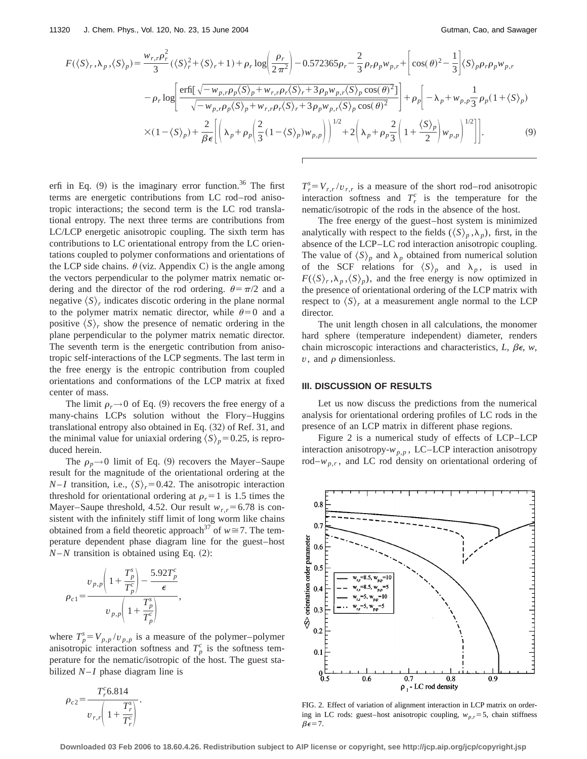$$
F(\langle S \rangle_r, \lambda_p, \langle S \rangle_p) = \frac{w_{r,r} \rho_r^2}{3} (\langle S \rangle_r^2 + \langle S \rangle_r + 1) + \rho_r \log \left( \frac{\rho_r}{2 \pi^2} \right) - 0.572365 \rho_r - \frac{2}{3} \rho_r \rho_p w_{p,r} + \left[ \cos(\theta)^2 - \frac{1}{3} \right] \langle S \rangle_p \rho_r \rho_p w_{p,r}
$$

$$
- \rho_r \log \left[ \frac{\text{erfi} \left( \sqrt{-w_{p,r} \rho_p \langle S \rangle_p + w_{r,r} \rho_r \langle S \rangle_r + 3 \rho_p w_{p,r} \langle S \rangle_p \cos(\theta)^2} \right)}{\sqrt{-w_{p,r} \rho_p \langle S \rangle_p + w_{r,r} \rho_r \langle S \rangle_r + 3 \rho_p w_{p,r} \langle S \rangle_p \cos(\theta)^2}} \right] + \rho_p \left[ -\lambda_p + w_{p,p} \frac{1}{3} \rho_p (1 + \langle S \rangle_p) \right]
$$

$$
\times (1 - \langle S \rangle_p) + \frac{2}{\beta \epsilon} \left[ \left( \lambda_p + \rho_p \left( \frac{2}{3} (1 - \langle S \rangle_p) w_{p,p} \right) \right)^{1/2} + 2 \left( \lambda_p + \rho_p \frac{2}{3} \left( 1 + \frac{\langle S \rangle_p}{2} \right) w_{p,p} \right)^{1/2} \right] \right]. \tag{9}
$$

erfi in Eq.  $(9)$  is the imaginary error function.<sup>36</sup> The first terms are energetic contributions from LC rod–rod anisotropic interactions; the second term is the LC rod translational entropy. The next three terms are contributions from LC/LCP energetic anisotropic coupling. The sixth term has contributions to LC orientational entropy from the LC orientations coupled to polymer conformations and orientations of the LCP side chains.  $\theta$  (viz. Appendix C) is the angle among the vectors perpendicular to the polymer matrix nematic ordering and the director of the rod ordering.  $\theta = \pi/2$  and a negative  $\langle S \rangle$ <sub>r</sub> indicates discotic ordering in the plane normal to the polymer matrix nematic director, while  $\theta=0$  and a positive  $\langle S \rangle$ <sub>r</sub> show the presence of nematic ordering in the plane perpendicular to the polymer matrix nematic director. The seventh term is the energetic contribution from anisotropic self-interactions of the LCP segments. The last term in the free energy is the entropic contribution from coupled orientations and conformations of the LCP matrix at fixed center of mass.

The limit  $\rho_r \rightarrow 0$  of Eq. (9) recovers the free energy of a many-chains LCPs solution without the Flory–Huggins translational entropy also obtained in Eq.  $(32)$  of Ref. 31, and the minimal value for uniaxial ordering  $\langle S \rangle_p = 0.25$ , is reproduced herein.

The  $\rho_p \rightarrow 0$  limit of Eq. (9) recovers the Mayer–Saupe result for the magnitude of the orientational ordering at the *N*–*I* transition, i.e.,  $\langle S \rangle$ <sub>*r*</sub>=0.42. The anisotropic interaction threshold for orientational ordering at  $\rho_r = 1$  is 1.5 times the Mayer–Saupe threshold, 4.52. Our result  $w_r = 6.78$  is consistent with the infinitely stiff limit of long worm like chains obtained from a field theoretic approach<sup>37</sup> of  $w \approx 7$ . The temperature dependent phase diagram line for the guest–host  $N-N$  transition is obtained using Eq.  $(2)$ :

$$
\rho_{c1} = \frac{v_{p,p} \left(1 + \frac{T_p^s}{T_p^c}\right) - \frac{5.92 T_p^c}{\epsilon}}{v_{p,p} \left(1 + \frac{T_p^s}{T_p^c}\right)},
$$

where  $T_p^s = V_{p,p} / v_{p,p}$  is a measure of the polymer–polymer anisotropic interaction softness and  $T_p^c$  is the softness temperature for the nematic/isotropic of the host. The guest stabilized  $N-I$  phase diagram line is

 $T_r^s = V_{r,r}/v_{r,r}$  is a measure of the short rod–rod anisotropic interaction softness and  $T_r^c$  is the temperature for the nematic/isotropic of the rods in the absence of the host.

The free energy of the guest–host system is minimized analytically with respect to the fields  $(\langle S \rangle_p, \lambda_p)$ , first, in the absence of the LCP–LC rod interaction anisotropic coupling. The value of  $\langle S \rangle_p$  and  $\lambda_p$  obtained from numerical solution of the SCF relations for  $\langle S \rangle_p$  and  $\lambda_p$ , is used in  $F(\langle S \rangle_r, \lambda_p, \langle S \rangle_p)$ , and the free energy is now optimized in the presence of orientational ordering of the LCP matrix with respect to  $\langle S \rangle$ <sup>r</sup> at a measurement angle normal to the LCP director.

The unit length chosen in all calculations, the monomer hard sphere (temperature independent) diameter, renders chain microscopic interactions and characteristics,  $L$ ,  $\beta \epsilon$ ,  $w$ ,  $v$ , and  $\rho$  dimensionless.

#### **III. DISCUSSION OF RESULTS**

Let us now discuss the predictions from the numerical analysis for orientational ordering profiles of LC rods in the presence of an LCP matrix in different phase regions.

Figure 2 is a numerical study of effects of LCP–LCP interaction anisotropy- $w_{p,p}$ , LC–LCP interaction anisotropy rod– $w_{p,r}$ , and LC rod density on orientational ordering of



FIG. 2. Effect of variation of alignment interaction in LCP matrix on ordering in LC rods: guest–host anisotropic coupling,  $w_{p,r} = 5$ , chain stiffness  $\beta \epsilon$ =7.

$$
\rho_{c2} = \frac{T_r^c 6.814}{v_{r,r} \left(1 + \frac{T_r^s}{T_r^c}\right)}.
$$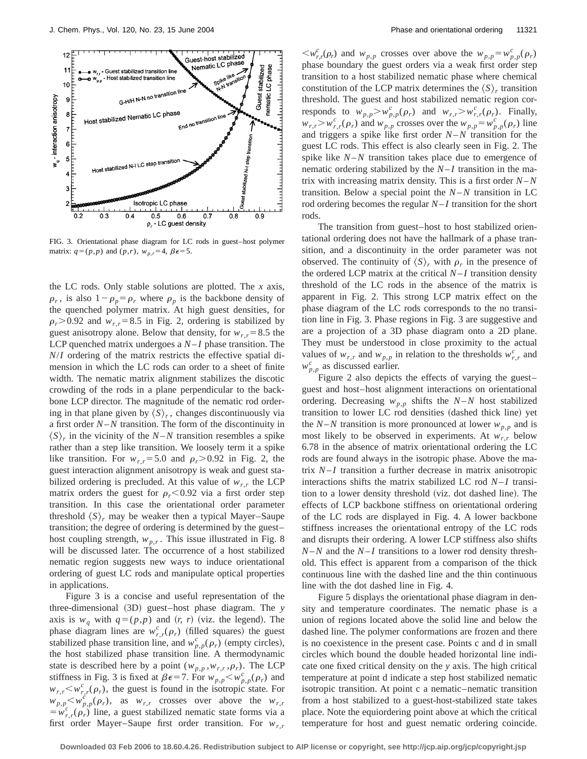

FIG. 3. Orientational phase diagram for LC rods in guest–host polymer matrix:  $q=(p,p)$  and  $(p,r)$ ,  $w_{p,r}=4$ ,  $\beta \epsilon=5$ .

the LC rods. Only stable solutions are plotted. The *x* axis,  $\rho_r$ , is also  $1-\rho_p=\rho_r$  where  $\rho_p$  is the backbone density of the quenched polymer matrix. At high guest densities, for  $\rho_r$ >0.92 and  $w_{r,r}$ =8.5 in Fig. 2, ordering is stabilized by guest anisotropy alone. Below that density, for  $w_r = 8.5$  the LCP quenched matrix undergoes a  $N-I$  phase transition. The *N*/*I* ordering of the matrix restricts the effective spatial dimension in which the LC rods can order to a sheet of finite width. The nematic matrix alignment stabilizes the discotic crowding of the rods in a plane perpendicular to the backbone LCP director. The magnitude of the nematic rod ordering in that plane given by  $\langle S \rangle$ <sup>r</sup>, changes discontinuously via a first order *N*–*N* transition. The form of the discontinuity in  $\langle S \rangle$ <sub>r</sub> in the vicinity of the *N–N* transition resembles a spike rather than a step like transition. We loosely term it a spike like transition. For  $w_{r,r}$ = 5.0 and  $\rho_r$ > 0.92 in Fig. 2, the guest interaction alignment anisotropy is weak and guest stabilized ordering is precluded. At this value of  $w_{r,r}$  the LCP matrix orders the guest for  $\rho_r < 0.92$  via a first order step transition. In this case the orientational order parameter threshold  $\langle S \rangle$ <sub>r</sub> may be weaker then a typical Mayer–Saupe transition; the degree of ordering is determined by the guest– host coupling strength,  $w_{p,r}$ . This issue illustrated in Fig. 8 will be discussed later. The occurrence of a host stabilized nematic region suggests new ways to induce orientational ordering of guest LC rods and manipulate optical properties in applications.

Figure 3 is a concise and useful representation of the three-dimensional (3D) guest-host phase diagram. The *y* axis is  $w_q$  with  $q=(p,p)$  and  $(r, r)$  (viz. the legend). The phase diagram lines are  $w_{r,r}^c(\rho_r)$  (filled squares) the guest stabilized phase transition line, and  $w_{p,p}^c(\rho_r)$  (empty circles), the host stabilized phase transition line. A thermodynamic state is described here by a point  $(w_{p,p}, w_{r,r}, \rho_r)$ . The LCP stiffness in Fig. 3 is fixed at  $\beta \epsilon$ =7. For  $w_{p,p} < w_{p,p}^c(\rho_r)$  and  $w_{r,r} < w_{r,r}^c(\rho_r)$ , the guest is found in the isotropic state. For  $w_{p,p} \leq w_{p,p}^{c}(\rho_r)$ , as  $w_{r,r}$  crosses over above the  $w_{r,r}$  $= w_{r,r}^c(\rho_r)$  line, a guest stabilized nematic state forms via a first order Mayer–Saupe first order transition. For  $w_{r,r}$ 

 $\langle w_{r,r}^c(\rho_r) \rangle$  and  $w_{p,p}$  crosses over above the  $w_{p,p} = w_{p,p}^c(\rho_r)$ phase boundary the guest orders via a weak first order step transition to a host stabilized nematic phase where chemical constitution of the LCP matrix determines the  $\langle S \rangle$ <sup>r</sup> transition threshold. The guest and host stabilized nematic region corresponds to  $w_{p,p} > w_{p,p}^c(\rho_r)$  and  $w_{r,r} > w_{r,r}^c(\rho_r)$ . Finally,  $w_{r,r} > w_{r,r}^c(\rho_r)$  and  $w_{p,p}^c$  crosses over the  $w_{p,p} = w_{p,p}^c(\rho_r)$  line and triggers a spike like first order *N*–*N* transition for the guest LC rods. This effect is also clearly seen in Fig. 2. The spike like *N*–*N* transition takes place due to emergence of nematic ordering stabilized by the  $N-I$  transition in the matrix with increasing matrix density. This is a first order *N*–*N* transition. Below a special point the *N*–*N* transition in LC rod ordering becomes the regular *N*–*I* transition for the short rods.

The transition from guest–host to host stabilized orientational ordering does not have the hallmark of a phase transition, and a discontinuity in the order parameter was not observed. The continuity of  $\langle S \rangle$ *r* with  $\rho$ *r* in the presence of the ordered LCP matrix at the critical  $N-I$  transition density threshold of the LC rods in the absence of the matrix is apparent in Fig. 2. This strong LCP matrix effect on the phase diagram of the LC rods corresponds to the no transition line in Fig. 3. Phase regions in Fig. 3 are suggestive and are a projection of a 3D phase diagram onto a 2D plane. They must be understood in close proximity to the actual values of  $w_{r,r}$  and  $w_{p,p}$  in relation to the thresholds  $w_{r,r}^c$  and  $w_{p,p}^c$  as discussed earlier.

Figure 2 also depicts the effects of varying the guest– guest and host–host alignment interactions on orientational ordering. Decreasing  $w_{p,p}$  shifts the *N*–*N* host stabilized transition to lower LC rod densities (dashed thick line) yet the *N*–*N* transition is more pronounced at lower  $w_{p,p}$  and is most likely to be observed in experiments. At *wr*,*<sup>r</sup>* below 6.78 in the absence of matrix orientational ordering the LC rods are found always in the isotropic phase. Above the matrix  $N-I$  transition a further decrease in matrix anisotropic interactions shifts the matrix stabilized LC rod  $N-I$  transition to a lower density threshold (viz. dot dashed line). The effects of LCP backbone stiffness on orientational ordering of the LC rods are displayed in Fig. 4. A lower backbone stiffness increases the orientational entropy of the LC rods and disrupts their ordering. A lower LCP stiffness also shifts  $N-N$  and the  $N-I$  transitions to a lower rod density threshold. This effect is apparent from a comparison of the thick continuous line with the dashed line and the thin continuous line with the dot dashed line in Fig. 4.

Figure 5 displays the orientational phase diagram in density and temperature coordinates. The nematic phase is a union of regions located above the solid line and below the dashed line. The polymer conformations are frozen and there is no coexistence in the present case. Points c and d in small circles which bound the double headed horizontal line indicate one fixed critical density on the *y* axis. The high critical temperature at point d indicate a step host stabilized nematic isotropic transition. At point c a nematic–nematic transition from a host stabilized to a guest-host-stabilized state takes place. Note the equiordering point above at which the critical temperature for host and guest nematic ordering coincide.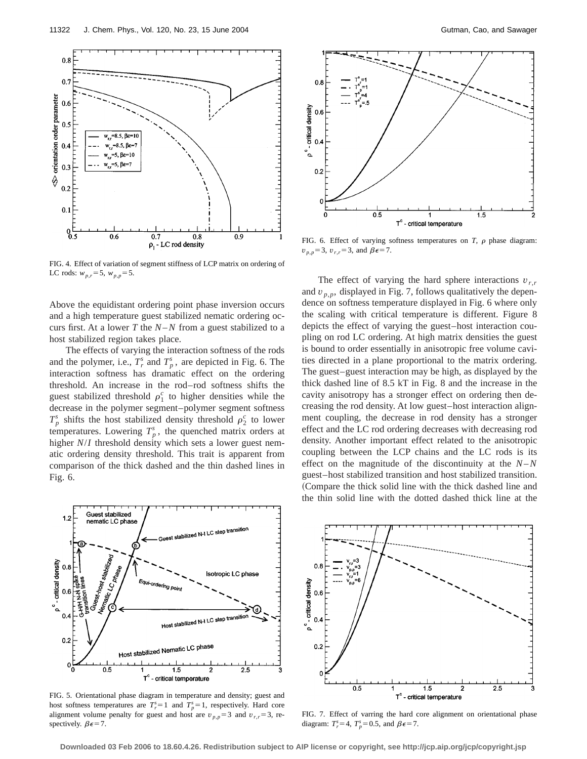

FIG. 4. Effect of variation of segment stiffness of LCP matrix on ordering of LC rods:  $w_{p,r} = 5$ ,  $w_{p,p} = 5$ .

Above the equidistant ordering point phase inversion occurs and a high temperature guest stabilized nematic ordering occurs first. At a lower *T* the *N*–*N* from a guest stabilized to a host stabilized region takes place.

The effects of varying the interaction softness of the rods and the polymer, i.e.,  $T_r^s$  and  $T_p^s$ , are depicted in Fig. 6. The interaction softness has dramatic effect on the ordering threshold. An increase in the rod–rod softness shifts the guest stabilized threshold  $\rho_1^c$  to higher densities while the decrease in the polymer segment–polymer segment softness  $T_p^s$  shifts the host stabilized density threshold  $\rho_2^c$  to lower temperatures. Lowering  $T_p^s$ , the quenched matrix orders at higher *N*/*I* threshold density which sets a lower guest nematic ordering density threshold. This trait is apparent from comparison of the thick dashed and the thin dashed lines in Fig. 6.



FIG. 5. Orientational phase diagram in temperature and density; guest and host softness temperatures are  $T_r^s = 1$  and  $T_p^s = 1$ , respectively. Hard core alignment volume penalty for guest and host are  $v_{p,p} = 3$  and  $v_{r,r} = 3$ , respectively.  $\beta \epsilon$ =7.



FIG. 6. Effect of varying softness temperatures on  $T$ ,  $\rho$  phase diagram:  $v_{p,p} = 3$ ,  $v_{r,r} = 3$ , and  $\beta \epsilon = 7$ .

The effect of varying the hard sphere interactions  $v_{r,r}$ and  $v_{p,p}$ , displayed in Fig. 7, follows qualitatively the dependence on softness temperature displayed in Fig. 6 where only the scaling with critical temperature is different. Figure 8 depicts the effect of varying the guest–host interaction coupling on rod LC ordering. At high matrix densities the guest is bound to order essentially in anisotropic free volume cavities directed in a plane proportional to the matrix ordering. The guest–guest interaction may be high, as displayed by the thick dashed line of 8.5 kT in Fig. 8 and the increase in the cavity anisotropy has a stronger effect on ordering then decreasing the rod density. At low guest–host interaction alignment coupling, the decrease in rod density has a stronger effect and the LC rod ordering decreases with decreasing rod density. Another important effect related to the anisotropic coupling between the LCP chains and the LC rods is its effect on the magnitude of the discontinuity at the *N*–*N* guest–host stabilized transition and host stabilized transition. ~Compare the thick solid line with the thick dashed line and the thin solid line with the dotted dashed thick line at the



FIG. 7. Effect of varring the hard core alignment on orientational phase diagram:  $T_r^s = 4$ ,  $T_p^s = 0.5$ , and  $\beta \epsilon = 7$ .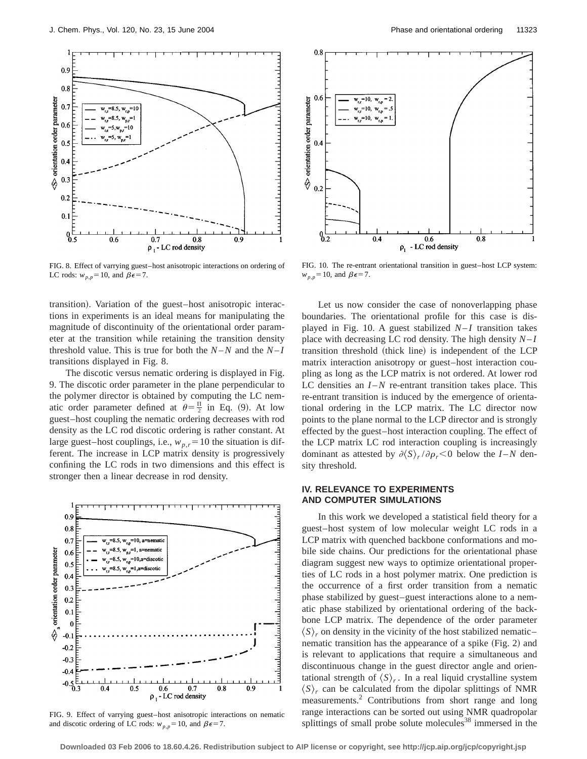

FIG. 8. Effect of varrying guest–host anisotropic interactions on ordering of LC rods:  $w_{p,p} = 10$ , and  $\beta \epsilon = 7$ .

transition). Variation of the guest-host anisotropic interactions in experiments is an ideal means for manipulating the magnitude of discontinuity of the orientational order parameter at the transition while retaining the transition density threshold value. This is true for both the  $N-N$  and the  $N-I$ transitions displayed in Fig. 8.

The discotic versus nematic ordering is displayed in Fig. 9. The discotic order parameter in the plane perpendicular to the polymer director is obtained by computing the LC nematic order parameter defined at  $\theta = \frac{\Pi}{2}$  in Eq. (9). At low guest–host coupling the nematic ordering decreases with rod density as the LC rod discotic ordering is rather constant. At large guest–host couplings, i.e.,  $w_{p,r}$ = 10 the situation is different. The increase in LCP matrix density is progressively confining the LC rods in two dimensions and this effect is stronger then a linear decrease in rod density.



FIG. 9. Effect of varrying guest–host anisotropic interactions on nematic and discotic ordering of LC rods:  $w_{p,p} = 10$ , and  $\beta \epsilon = 7$ .



FIG. 10. The re-entrant orientational transition in guest–host LCP system:  $w_{p,p}$ =10, and  $\beta \epsilon$ =7.

Let us now consider the case of nonoverlapping phase boundaries. The orientational profile for this case is displayed in Fig. 10. A guest stabilized  $N-I$  transition takes place with decreasing LC rod density. The high density  $N-I$ transition threshold (thick line) is independent of the LCP matrix interaction anisotropy or guest–host interaction coupling as long as the LCP matrix is not ordered. At lower rod LC densities an *I* –*N* re-entrant transition takes place. This re-entrant transition is induced by the emergence of orientational ordering in the LCP matrix. The LC director now points to the plane normal to the LCP director and is strongly effected by the guest–host interaction coupling. The effect of the LCP matrix LC rod interaction coupling is increasingly dominant as attested by  $\partial \langle S \rangle_r / \partial \rho_r \langle 0 \rangle$  below the *I* – *N* density threshold.

# **IV. RELEVANCE TO EXPERIMENTS AND COMPUTER SIMULATIONS**

In this work we developed a statistical field theory for a guest–host system of low molecular weight LC rods in a LCP matrix with quenched backbone conformations and mobile side chains. Our predictions for the orientational phase diagram suggest new ways to optimize orientational properties of LC rods in a host polymer matrix. One prediction is the occurrence of a first order transition from a nematic phase stabilized by guest–guest interactions alone to a nematic phase stabilized by orientational ordering of the backbone LCP matrix. The dependence of the order parameter  $\langle S \rangle$ <sub>r</sub> on density in the vicinity of the host stabilized nematic– nematic transition has the appearance of a spike  $(Fig. 2)$  and is relevant to applications that require a simultaneous and discontinuous change in the guest director angle and orientational strength of  $\langle S \rangle$ . In a real liquid crystalline system  $\langle S \rangle$ <sub>r</sub> can be calculated from the dipolar splittings of NMR measurements.<sup>2</sup> Contributions from short range and long range interactions can be sorted out using NMR quadropolar splittings of small probe solute molecules<sup>38</sup> immersed in the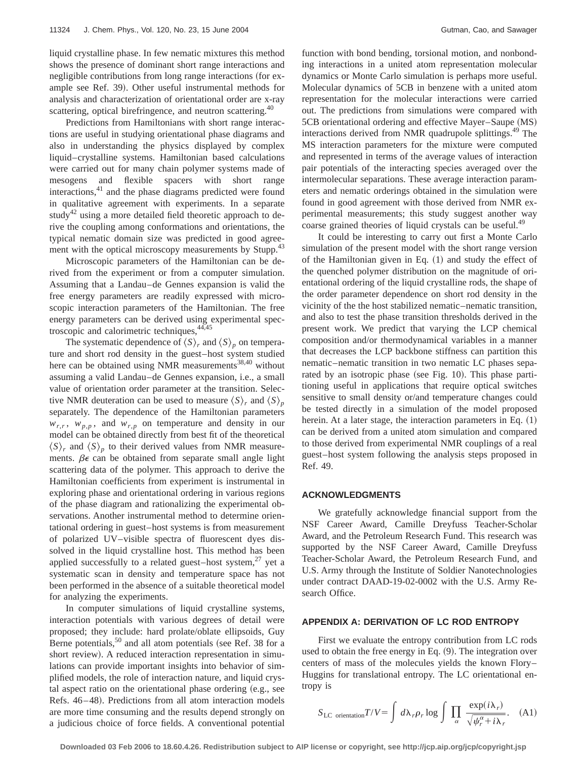liquid crystalline phase. In few nematic mixtures this method shows the presence of dominant short range interactions and negligible contributions from long range interactions (for example see Ref. 39). Other useful instrumental methods for analysis and characterization of orientational order are x-ray scattering, optical birefringence, and neutron scattering.<sup>40</sup>

Predictions from Hamiltonians with short range interactions are useful in studying orientational phase diagrams and also in understanding the physics displayed by complex liquid–crystalline systems. Hamiltonian based calculations were carried out for many chain polymer systems made of mesogens and flexible spacers with short range interactions,<sup>41</sup> and the phase diagrams predicted were found in qualitative agreement with experiments. In a separate study<sup>42</sup> using a more detailed field theoretic approach to derive the coupling among conformations and orientations, the typical nematic domain size was predicted in good agreement with the optical microscopy measurements by Stupp.<sup>43</sup>

Microscopic parameters of the Hamiltonian can be derived from the experiment or from a computer simulation. Assuming that a Landau–de Gennes expansion is valid the free energy parameters are readily expressed with microscopic interaction parameters of the Hamiltonian. The free energy parameters can be derived using experimental spectroscopic and calorimetric techniques,  $44,45$ 

The systematic dependence of  $\langle S \rangle_r$  and  $\langle S \rangle_p$  on temperature and short rod density in the guest–host system studied here can be obtained using NMR measurements<sup>38,40</sup> without assuming a valid Landau–de Gennes expansion, i.e., a small value of orientation order parameter at the transition. Selective NMR deuteration can be used to measure  $\langle S \rangle$ <sub>*r*</sub> and  $\langle S \rangle$ <sub>*p*</sub> separately. The dependence of the Hamiltonian parameters  $w_{r,r}$ ,  $w_{p,p}$ , and  $w_{r,p}$  on temperature and density in our model can be obtained directly from best fit of the theoretical  $\langle S \rangle$ <sub>r</sub> and  $\langle S \rangle$ <sub>p</sub> to their derived values from NMR measurements.  $\beta \epsilon$  can be obtained from separate small angle light scattering data of the polymer. This approach to derive the Hamiltonian coefficients from experiment is instrumental in exploring phase and orientational ordering in various regions of the phase diagram and rationalizing the experimental observations. Another instrumental method to determine orientational ordering in guest–host systems is from measurement of polarized UV–visible spectra of fluorescent dyes dissolved in the liquid crystalline host. This method has been applied successfully to a related guest–host system, $27$  yet a systematic scan in density and temperature space has not been performed in the absence of a suitable theoretical model for analyzing the experiments.

In computer simulations of liquid crystalline systems, interaction potentials with various degrees of detail were proposed; they include: hard prolate/oblate ellipsoids, Guy Berne potentials,  $50$  and all atom potentials (see Ref. 38 for a short review). A reduced interaction representation in simulations can provide important insights into behavior of simplified models, the role of interaction nature, and liquid crystal aspect ratio on the orientational phase ordering  $(e.g.,)$  see Refs. 46–48). Predictions from all atom interaction models are more time consuming and the results depend strongly on a judicious choice of force fields. A conventional potential function with bond bending, torsional motion, and nonbonding interactions in a united atom representation molecular dynamics or Monte Carlo simulation is perhaps more useful. Molecular dynamics of 5CB in benzene with a united atom representation for the molecular interactions were carried out. The predictions from simulations were compared with 5CB orientational ordering and effective Mayer–Saupe (MS) interactions derived from NMR quadrupole splittings.<sup>49</sup> The MS interaction parameters for the mixture were computed and represented in terms of the average values of interaction pair potentials of the interacting species averaged over the intermolecular separations. These average interaction parameters and nematic orderings obtained in the simulation were found in good agreement with those derived from NMR experimental measurements; this study suggest another way coarse grained theories of liquid crystals can be useful.<sup>49</sup>

It could be interesting to carry out first a Monte Carlo simulation of the present model with the short range version of the Hamiltonian given in Eq.  $(1)$  and study the effect of the quenched polymer distribution on the magnitude of orientational ordering of the liquid crystalline rods, the shape of the order parameter dependence on short rod density in the vicinity of the the host stabilized nematic–nematic transition, and also to test the phase transition thresholds derived in the present work. We predict that varying the LCP chemical composition and/or thermodynamical variables in a manner that decreases the LCP backbone stiffness can partition this nematic–nematic transition in two nematic LC phases separated by an isotropic phase (see Fig. 10). This phase partitioning useful in applications that require optical switches sensitive to small density or/and temperature changes could be tested directly in a simulation of the model proposed herein. At a later stage, the interaction parameters in Eq.  $(1)$ can be derived from a united atom simulation and compared to those derived from experimental NMR couplings of a real guest–host system following the analysis steps proposed in Ref. 49.

## **ACKNOWLEDGMENTS**

We gratefully acknowledge financial support from the NSF Career Award, Camille Dreyfuss Teacher-Scholar Award, and the Petroleum Research Fund. This research was supported by the NSF Career Award, Camille Dreyfuss Teacher-Scholar Award, the Petroleum Research Fund, and U.S. Army through the Institute of Soldier Nanotechnologies under contract DAAD-19-02-0002 with the U.S. Army Research Office.

### **APPENDIX A: DERIVATION OF LC ROD ENTROPY**

First we evaluate the entropy contribution from LC rods used to obtain the free energy in Eq.  $(9)$ . The integration over centers of mass of the molecules yields the known Flory– Huggins for translational entropy. The LC orientational entropy is

$$
S_{\rm LC\ orientation} T/V = \int d\lambda_r \rho_r \log \int \prod_{\alpha} \frac{\exp(i\lambda_r)}{\sqrt{\psi_r^{\alpha} + i\lambda_r}}. \quad (A1)
$$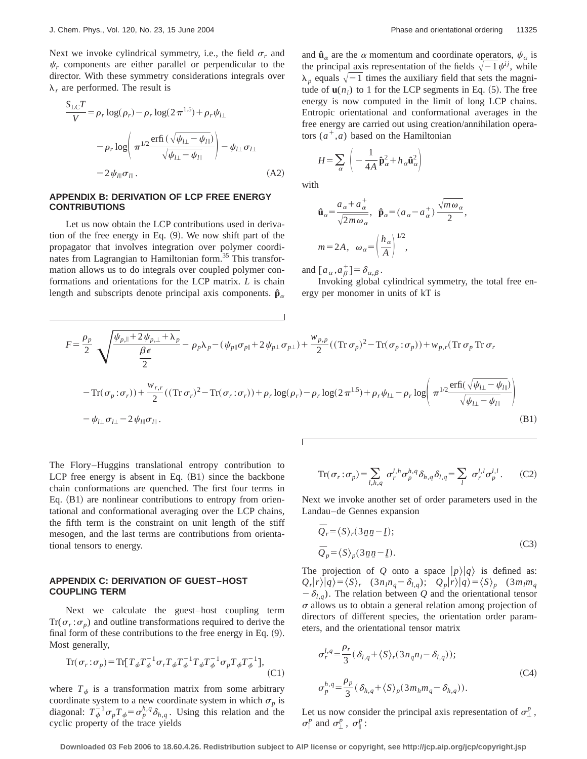Next we invoke cylindrical symmetry, i.e., the field  $\sigma_r$  and  $\psi_r$  components are either parallel or perpendicular to the director. With these symmetry considerations integrals over  $\lambda_r$  are performed. The result is

$$
\frac{S_{\text{LC}}T}{V} = \rho_r \log(\rho_r) - \rho_r \log(2 \pi^{1.5}) + \rho_r \psi_{l\perp}
$$

$$
- \rho_r \log \left( \pi^{1/2} \frac{\text{erfi}\left(\sqrt{\psi_{l\perp} - \psi_{l\parallel}}\right)}{\sqrt{\psi_{l\perp} - \psi_{l\parallel}}} \right) - \psi_{l\perp} \sigma_{l\perp}
$$

$$
- 2 \psi_{l\parallel} \sigma_{l\parallel}. \tag{A2}
$$

## **APPENDIX B: DERIVATION OF LCP FREE ENERGY CONTRIBUTIONS**

Let us now obtain the LCP contributions used in derivation of the free energy in Eq.  $(9)$ . We now shift part of the propagator that involves integration over polymer coordinates from Lagrangian to Hamiltonian form.<sup>35</sup> This transformation allows us to do integrals over coupled polymer conformations and orientations for the LCP matrix. *L* is chain length and subscripts denote principal axis components.  $\hat{\mathbf{p}}_{\alpha}$  and  $\hat{\mathbf{u}}_{\alpha}$  are the  $\alpha$  momentum and coordinate operators,  $\psi_{\alpha}$  is the principal axis representation of the fields  $\sqrt{-1}\psi^{ij}$ , while  $\lambda_p$  equals  $\sqrt{-1}$  times the auxiliary field that sets the magnitude of  $\mathbf{u}(n_i)$  to 1 for the LCP segments in Eq. (5). The free energy is now computed in the limit of long LCP chains. Entropic orientational and conformational averages in the free energy are carried out using creation/annihilation operators  $(a^+,a)$  based on the Hamiltonian

$$
H = \sum_{\alpha} \left( -\frac{1}{4A} \hat{\mathbf{p}}_{\alpha}^{2} + h_{\alpha} \hat{\mathbf{u}}_{\alpha}^{2} \right)
$$

with

$$
\hat{\mathbf{u}}_{\alpha} = \frac{a_{\alpha} + a_{\alpha}^{+}}{\sqrt{2m\omega_{\alpha}}}, \quad \hat{\mathbf{p}}_{\alpha} = (a_{\alpha} - a_{\alpha}^{+}) \frac{\sqrt{m\omega_{\alpha}}}{2},
$$

$$
m = 2A, \quad \omega_{\alpha} = \left(\frac{h_{\alpha}}{A}\right)^{1/2},
$$

and  $[a_{\alpha}, a_{\beta}^+] = \delta_{\alpha,\beta}$ .

Invoking global cylindrical symmetry, the total free energy per monomer in units of kT is

$$
F = \frac{\rho_p}{2} \sqrt{\frac{\psi_{p,\parallel} + 2\psi_{p,\perp} + \lambda_p}{\beta \epsilon}} - \rho_p \lambda_p - (\psi_{p\parallel} \sigma_{p\parallel} + 2\psi_{p\perp} \sigma_{p\perp}) + \frac{w_{p,p}}{2} ((\text{Tr}\,\sigma_p)^2 - \text{Tr}(\sigma_p : \sigma_p)) + w_{p,r} (\text{Tr}\,\sigma_p \text{Tr}\,\sigma_r)
$$

$$
-\text{Tr}(\sigma_p : \sigma_r)) + \frac{w_{r,r}}{2} ((\text{Tr}\,\sigma_r)^2 - \text{Tr}(\sigma_r : \sigma_r)) + \rho_r \log(\rho_r) - \rho_r \log(2\pi^{1.5}) + \rho_r \psi_{l\perp} - \rho_r \log\left(\pi^{1/2} \frac{\text{erfi}(\sqrt{\psi_{l\perp} - \psi_{l\parallel}})}{\sqrt{\psi_{l\perp} - \psi_{l\parallel}}}\right)
$$

$$
-\psi_{l\perp} \sigma_{l\perp} - 2\psi_{l\parallel} \sigma_{l\parallel}.
$$
(B1)

The Flory–Huggins translational entropy contribution to LCP free energy is absent in Eq.  $(B1)$  since the backbone chain conformations are quenched. The first four terms in Eq.  $(B1)$  are nonlinear contributions to entropy from orientational and conformational averaging over the LCP chains, the fifth term is the constraint on unit length of the stiff mesogen, and the last terms are contributions from orientational tensors to energy.

## **APPENDIX C: DERIVATION OF GUEST–HOST COUPLING TERM**

Next we calculate the guest–host coupling term  $Tr(\sigma_r : \sigma_p)$  and outline transformations required to derive the final form of these contributions to the free energy in Eq.  $(9)$ . Most generally,

$$
\operatorname{Tr}(\sigma_r : \sigma_p) = \operatorname{Tr} [T_\phi T_\phi^{-1} \sigma_r T_\phi T_\phi^{-1} T_\phi T_\phi^{-1} \sigma_p T_\phi T_\phi^{-1}],
$$
\n(C1)

where  $T_{\phi}$  is a transformation matrix from some arbitrary coordinate system to a new coordinate system in which  $\sigma_p$  is diagonal:  $T_{\phi}^{-1} \sigma_p T_{\phi} = \sigma_p^{h,q} \delta_{h,q}$ . Using this relation and the cyclic property of the trace yields

$$
\operatorname{Tr}(\sigma_r; \sigma_p) = \sum_{l, h, q} \sigma_r^{l, h} \sigma_p^{h, q} \delta_{h, q} \delta_{l, q} = \sum_l \sigma_r^{l, l} \sigma_p^{l, l}.
$$
 (C2)

Next we invoke another set of order parameters used in the Landau–de Gennes expansion

$$
\overline{Q}_r = \langle S \rangle_r (3 \underline{n} \underline{n} - \underline{l});
$$
  
\n
$$
\overline{Q}_p = \langle S \rangle_p (3 \underline{n} \underline{n} - \underline{l}).
$$
\n(C3)

The projection of *Q* onto a space  $|p\rangle|q\rangle$  is defined as:  $Q_r|r\rangle|q\rangle = \langle S\rangle_r$  (3*n*<sub>l</sub>n<sub>q</sub><sup>-</sup>  $\delta_{l,q}$ );  $Q_p|r\rangle|q\rangle = \langle S\rangle_p$  (3*m*<sub>l</sub>m<sub>q</sub>  $-\delta_{l,q}$ ). The relation between *Q* and the orientational tensor  $\sigma$  allows us to obtain a general relation among projection of directors of different species, the orientation order parameters, and the orientational tensor matrix

$$
\sigma_r^{l,q} = \frac{\rho_r}{3} (\delta_{l,q} + \langle S \rangle_r (3n_q n_l - \delta_{l,q}));
$$
\n
$$
\sigma_p^{h,q} = \frac{\rho_p}{3} (\delta_{h,q} + \langle S \rangle_p (3m_h m_q - \delta_{h,q})).
$$
\n(C4)

Let us now consider the principal axis representation of  $\sigma^p_{\perp}$ ,  $\sigma_{\parallel}^p$  and  $\sigma_{\perp}^p$ ,  $\sigma_{\parallel}^p$ :